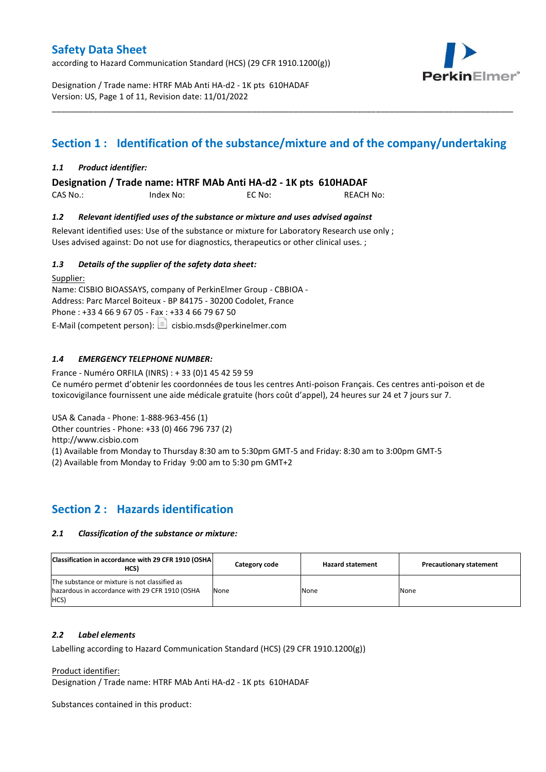according to Hazard Communication Standard (HCS) (29 CFR 1910.1200(g))



Designation / Trade name: HTRF MAb Anti HA-d2 - 1K pts 610HADAF Version: US, Page 1 of 11, Revision date: 11/01/2022

# **Section 1 : Identification of the substance/mixture and of the company/undertaking**

\_\_\_\_\_\_\_\_\_\_\_\_\_\_\_\_\_\_\_\_\_\_\_\_\_\_\_\_\_\_\_\_\_\_\_\_\_\_\_\_\_\_\_\_\_\_\_\_\_\_\_\_\_\_\_\_\_\_\_\_\_\_\_\_\_\_\_\_\_\_\_\_\_\_\_\_\_\_\_\_\_\_\_\_\_\_\_\_\_\_\_\_\_\_\_\_\_\_\_\_\_

### *1.1 Product identifier:*

**Designation / Trade name: HTRF MAb Anti HA-d2 - 1K pts 610HADAF** 

| CAS No.: | Index No: | EC No: | <b>REACH No:</b> |
|----------|-----------|--------|------------------|
|          |           |        |                  |

### *1.2 Relevant identified uses of the substance or mixture and uses advised against*

Relevant identified uses: Use of the substance or mixture for Laboratory Research use only ; Uses advised against: Do not use for diagnostics, therapeutics or other clinical uses. ;

### *1.3 Details of the supplier of the safety data sheet:*

Supplier: Name: CISBIO BIOASSAYS, company of PerkinElmer Group - CBBIOA - Address: Parc Marcel Boiteux - BP 84175 - 30200 Codolet, France Phone : +33 4 66 9 67 05 - Fax : +33 4 66 79 67 50 E-Mail (competent person):  $\boxed{\equiv}$  cisbio.msds@perkinelmer.com

### *1.4 EMERGENCY TELEPHONE NUMBER:*

France - Numéro ORFILA (INRS) : + 33 (0)1 45 42 59 59 Ce numéro permet d'obtenir les coordonnées de tous les centres Anti-poison Français. Ces centres anti-poison et de toxicovigilance fournissent une aide médicale gratuite (hors coût d'appel), 24 heures sur 24 et 7 jours sur 7.

USA & Canada - Phone: 1-888-963-456 (1)

Other countries - Phone: +33 (0) 466 796 737 (2)

http://www.cisbio.com

(1) Available from Monday to Thursday 8:30 am to 5:30pm GMT-5 and Friday: 8:30 am to 3:00pm GMT-5

(2) Available from Monday to Friday 9:00 am to 5:30 pm GMT+2

### **Section 2 : Hazards identification**

#### *2.1 Classification of the substance or mixture:*

| Classification in accordance with 29 CFR 1910 (OSHA)<br>HCS)                                            | Category code | <b>Hazard statement</b> | <b>Precautionary statement</b> |
|---------------------------------------------------------------------------------------------------------|---------------|-------------------------|--------------------------------|
| The substance or mixture is not classified as<br>hazardous in accordance with 29 CFR 1910 (OSHA<br>HCS) | None          | None                    | None                           |

#### *2.2 Label elements*

Labelling according to Hazard Communication Standard (HCS) (29 CFR 1910.1200(g))

Product identifier:

Designation / Trade name: HTRF MAb Anti HA-d2 - 1K pts 610HADAF

Substances contained in this product: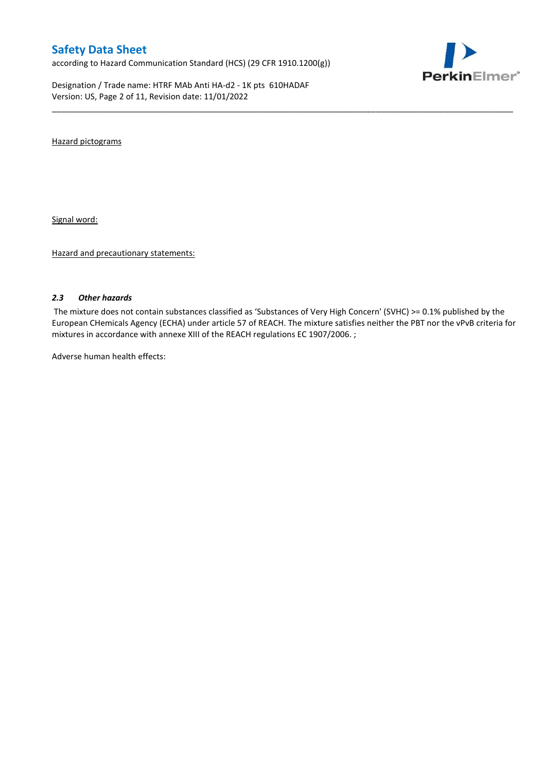according to Hazard Communication Standard (HCS) (29 CFR 1910.1200(g))

Designation / Trade name: HTRF MAb Anti HA-d2 - 1K pts 610HADAF Version: US, Page 2 of 11, Revision date: 11/01/2022



Hazard pictograms

Signal word:

Hazard and precautionary statements:

#### *2.3 Other hazards*

The mixture does not contain substances classified as 'Substances of Very High Concern' (SVHC) >= 0.1% published by the European CHemicals Agency (ECHA) under article 57 of REACH. The mixture satisfies neither the PBT nor the vPvB criteria for mixtures in accordance with annexe XIII of the REACH regulations EC 1907/2006. ;

\_\_\_\_\_\_\_\_\_\_\_\_\_\_\_\_\_\_\_\_\_\_\_\_\_\_\_\_\_\_\_\_\_\_\_\_\_\_\_\_\_\_\_\_\_\_\_\_\_\_\_\_\_\_\_\_\_\_\_\_\_\_\_\_\_\_\_\_\_\_\_\_\_\_\_\_\_\_\_\_\_\_\_\_\_\_\_\_\_\_\_\_\_\_\_\_\_\_\_\_\_

Adverse human health effects: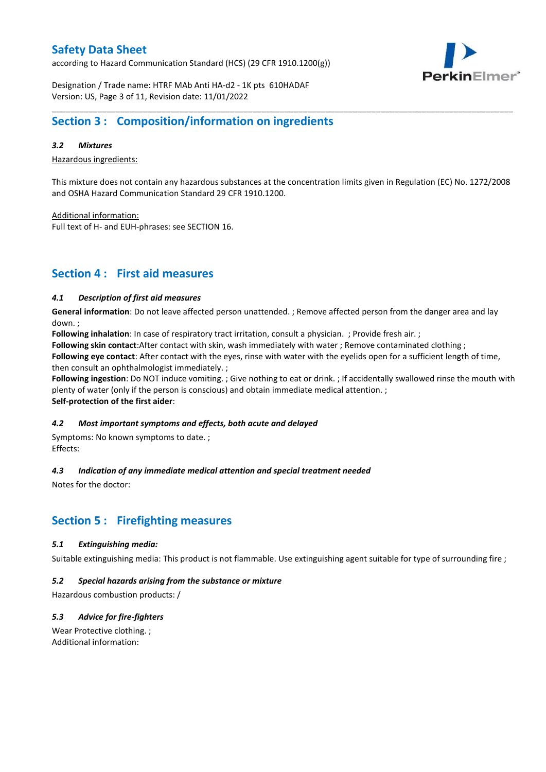according to Hazard Communication Standard (HCS) (29 CFR 1910.1200(g))



Designation / Trade name: HTRF MAb Anti HA-d2 - 1K pts 610HADAF Version: US, Page 3 of 11, Revision date: 11/01/2022

### **Section 3 : Composition/information on ingredients**

### *3.2 Mixtures*

Hazardous ingredients:

This mixture does not contain any hazardous substances at the concentration limits given in Regulation (EC) No. 1272/2008 and OSHA Hazard Communication Standard 29 CFR 1910.1200.

\_\_\_\_\_\_\_\_\_\_\_\_\_\_\_\_\_\_\_\_\_\_\_\_\_\_\_\_\_\_\_\_\_\_\_\_\_\_\_\_\_\_\_\_\_\_\_\_\_\_\_\_\_\_\_\_\_\_\_\_\_\_\_\_\_\_\_\_\_\_\_\_\_\_\_\_\_\_\_\_\_\_\_\_\_\_\_\_\_\_\_\_\_\_\_\_\_\_\_\_\_

Additional information:

Full text of H- and EUH-phrases: see SECTION 16.

### **Section 4 : First aid measures**

### *4.1 Description of first aid measures*

**General information**: Do not leave affected person unattended. ; Remove affected person from the danger area and lay down. ;

**Following inhalation**: In case of respiratory tract irritation, consult a physician. ; Provide fresh air. ;

**Following skin contact**:After contact with skin, wash immediately with water ; Remove contaminated clothing ;

**Following eye contact**: After contact with the eyes, rinse with water with the eyelids open for a sufficient length of time, then consult an ophthalmologist immediately. ;

**Following ingestion**: Do NOT induce vomiting. ; Give nothing to eat or drink. ; If accidentally swallowed rinse the mouth with plenty of water (only if the person is conscious) and obtain immediate medical attention. ; **Self-protection of the first aider**:

#### *4.2 Most important symptoms and effects, both acute and delayed*

Symptoms: No known symptoms to date. ; Effects:

### *4.3 Indication of any immediate medical attention and special treatment needed*

Notes for the doctor:

### **Section 5 : Firefighting measures**

#### *5.1 Extinguishing media:*

Suitable extinguishing media: This product is not flammable. Use extinguishing agent suitable for type of surrounding fire ;

#### *5.2 Special hazards arising from the substance or mixture*

Hazardous combustion products: /

### *5.3 Advice for fire-fighters*

Wear Protective clothing. ; Additional information: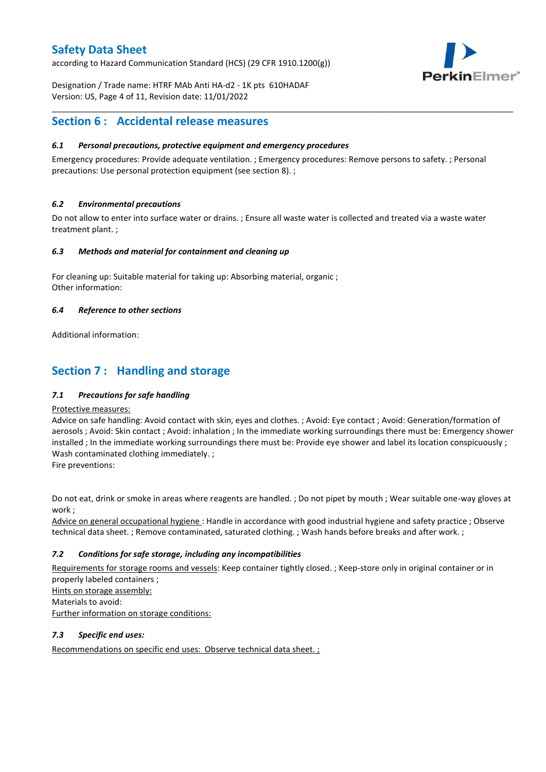according to Hazard Communication Standard (HCS) (29 CFR 1910.1200(g))



Designation / Trade name: HTRF MAb Anti HA-d2 - 1K pts 610HADAF Version: US, Page 4 of 11, Revision date: 11/01/2022

### **Section 6 : Accidental release measures**

### *6.1 Personal precautions, protective equipment and emergency procedures*

Emergency procedures: Provide adequate ventilation. ; Emergency procedures: Remove persons to safety. ; Personal precautions: Use personal protection equipment (see section 8). ;

\_\_\_\_\_\_\_\_\_\_\_\_\_\_\_\_\_\_\_\_\_\_\_\_\_\_\_\_\_\_\_\_\_\_\_\_\_\_\_\_\_\_\_\_\_\_\_\_\_\_\_\_\_\_\_\_\_\_\_\_\_\_\_\_\_\_\_\_\_\_\_\_\_\_\_\_\_\_\_\_\_\_\_\_\_\_\_\_\_\_\_\_\_\_\_\_\_\_\_\_\_

### *6.2 Environmental precautions*

Do not allow to enter into surface water or drains. ; Ensure all waste water is collected and treated via a waste water treatment plant. ;

#### *6.3 Methods and material for containment and cleaning up*

For cleaning up: Suitable material for taking up: Absorbing material, organic ; Other information:

### *6.4 Reference to other sections*

Additional information:

### **Section 7 : Handling and storage**

### *7.1 Precautions for safe handling*

#### Protective measures:

Advice on safe handling: Avoid contact with skin, eyes and clothes. ; Avoid: Eye contact ; Avoid: Generation/formation of aerosols ; Avoid: Skin contact ; Avoid: inhalation ; In the immediate working surroundings there must be: Emergency shower installed ; In the immediate working surroundings there must be: Provide eye shower and label its location conspicuously; Wash contaminated clothing immediately. ;

Fire preventions:

Do not eat, drink or smoke in areas where reagents are handled. ; Do not pipet by mouth ; Wear suitable one-way gloves at work ;

Advice on general occupational hygiene : Handle in accordance with good industrial hygiene and safety practice ; Observe technical data sheet. ; Remove contaminated, saturated clothing. ; Wash hands before breaks and after work. ;

### *7.2 Conditions for safe storage, including any incompatibilities*

Requirements for storage rooms and vessels: Keep container tightly closed. ; Keep-store only in original container or in properly labeled containers ; Hints on storage assembly: Materials to avoid:

Further information on storage conditions:

### *7.3 Specific end uses:*

Recommendations on specific end uses: Observe technical data sheet. ;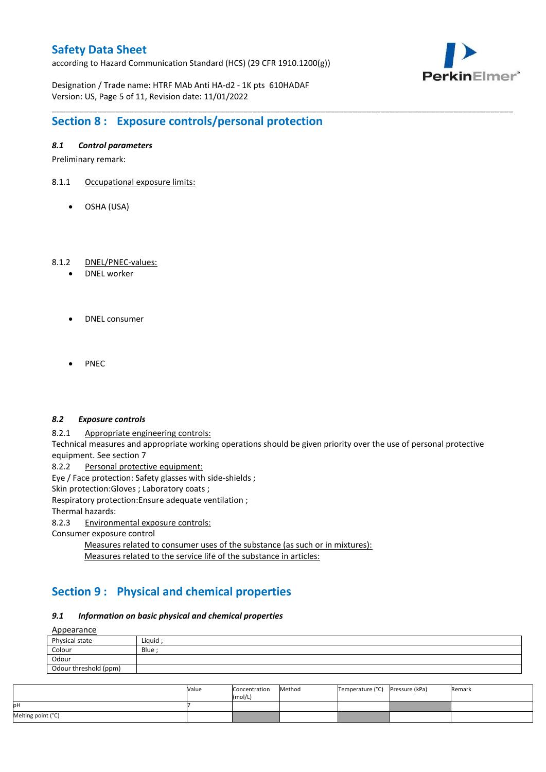according to Hazard Communication Standard (HCS) (29 CFR 1910.1200(g))



Designation / Trade name: HTRF MAb Anti HA-d2 - 1K pts 610HADAF Version: US, Page 5 of 11, Revision date: 11/01/2022

## **Section 8 : Exposure controls/personal protection**

### *8.1 Control parameters*

Preliminary remark:

- 8.1.1 Occupational exposure limits:
	- OSHA (USA)

### 8.1.2 DNEL/PNEC-values:

- DNEL worker
- DNEL consumer
- **PNFC**

#### *8.2 Exposure controls*

8.2.1 Appropriate engineering controls:

Technical measures and appropriate working operations should be given priority over the use of personal protective equipment. See section 7

\_\_\_\_\_\_\_\_\_\_\_\_\_\_\_\_\_\_\_\_\_\_\_\_\_\_\_\_\_\_\_\_\_\_\_\_\_\_\_\_\_\_\_\_\_\_\_\_\_\_\_\_\_\_\_\_\_\_\_\_\_\_\_\_\_\_\_\_\_\_\_\_\_\_\_\_\_\_\_\_\_\_\_\_\_\_\_\_\_\_\_\_\_\_\_\_\_\_\_\_\_

8.2.2 Personal protective equipment:

Eye / Face protection: Safety glasses with side-shields ;

Skin protection: Gloves ; Laboratory coats ;

Respiratory protection:Ensure adequate ventilation ;

Thermal hazards:

8.2.3 Environmental exposure controls:

Consumer exposure control

Measures related to consumer uses of the substance (as such or in mixtures): Measures related to the service life of the substance in articles:

# **Section 9 : Physical and chemical properties**

### *9.1 Information on basic physical and chemical properties*

**A**ppearance

| <u>rippedrunce</u>    |        |
|-----------------------|--------|
| Physical state        | Liguid |
| Colour                | Blue ; |
| Odour                 |        |
| Odour threshold (ppm) |        |

|                    | Value | Concentration<br>(mol/L) | Method | Temperature (°C) Pressure (kPa) | Remark |
|--------------------|-------|--------------------------|--------|---------------------------------|--------|
| pН                 |       |                          |        |                                 |        |
| Melting point (°C) |       |                          |        |                                 |        |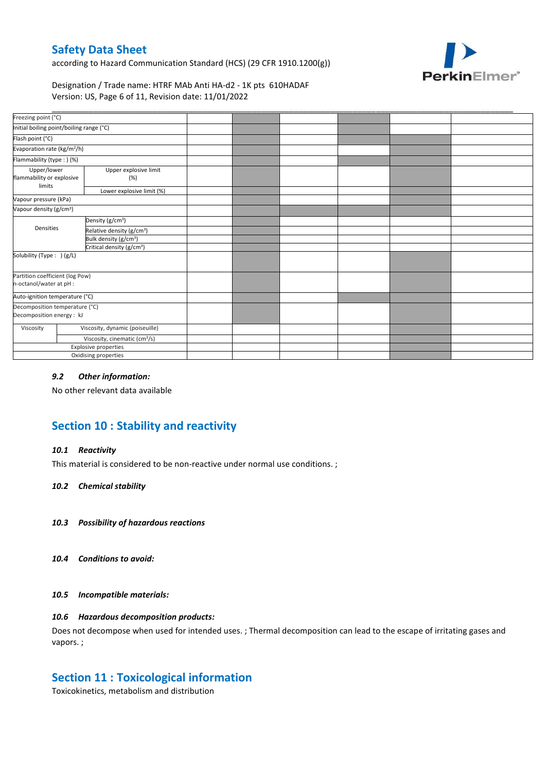according to Hazard Communication Standard (HCS) (29 CFR 1910.1200(g))



Designation / Trade name: HTRF MAb Anti HA-d2 - 1K pts 610HADAF Version: US, Page 6 of 11, Revision date: 11/01/2022

| Freezing point (°C)                                         |                                           |                                       |  |  |  |
|-------------------------------------------------------------|-------------------------------------------|---------------------------------------|--|--|--|
| Initial boiling point/boiling range (°C)                    |                                           |                                       |  |  |  |
| Flash point (°C)                                            |                                           |                                       |  |  |  |
| Evaporation rate (kg/m <sup>2</sup> /h)                     |                                           |                                       |  |  |  |
| Flammability (type:) (%)                                    |                                           |                                       |  |  |  |
| Upper/lower<br>flammability or explosive<br>limits          |                                           | Upper explosive limit<br>(%)          |  |  |  |
|                                                             |                                           | Lower explosive limit (%)             |  |  |  |
| Vapour pressure (kPa)                                       |                                           |                                       |  |  |  |
| Vapour density (g/cm <sup>3</sup> )                         |                                           |                                       |  |  |  |
|                                                             |                                           | Density (g/cm <sup>3</sup> )          |  |  |  |
| Densities                                                   |                                           | Relative density (g/cm <sup>3</sup> ) |  |  |  |
|                                                             |                                           | Bulk density (g/cm <sup>3</sup> )     |  |  |  |
|                                                             |                                           | Critical density (g/cm <sup>3</sup> ) |  |  |  |
| Solubility (Type: ) (g/L)                                   |                                           |                                       |  |  |  |
| Partition coefficient (log Pow)<br>n-octanol/water at pH :  |                                           |                                       |  |  |  |
| Auto-ignition temperature (°C)                              |                                           |                                       |  |  |  |
| Decomposition temperature (°C)<br>Decomposition energy : kJ |                                           |                                       |  |  |  |
| Viscosity                                                   |                                           | Viscosity, dynamic (poiseuille)       |  |  |  |
|                                                             | Viscosity, cinematic (cm <sup>3</sup> /s) |                                       |  |  |  |
|                                                             |                                           | Explosive properties                  |  |  |  |
|                                                             |                                           | Oxidising properties                  |  |  |  |

### *9.2 Other information:*

No other relevant data available

# **Section 10 : Stability and reactivity**

#### *10.1 Reactivity*

This material is considered to be non-reactive under normal use conditions. ;

#### *10.2 Chemical stability*

- *10.3 Possibility of hazardous reactions*
- *10.4 Conditions to avoid:*

#### *10.5 Incompatible materials:*

### *10.6 Hazardous decomposition products:*

Does not decompose when used for intended uses. ; Thermal decomposition can lead to the escape of irritating gases and vapors. ;

### **Section 11 : Toxicological information**

Toxicokinetics, metabolism and distribution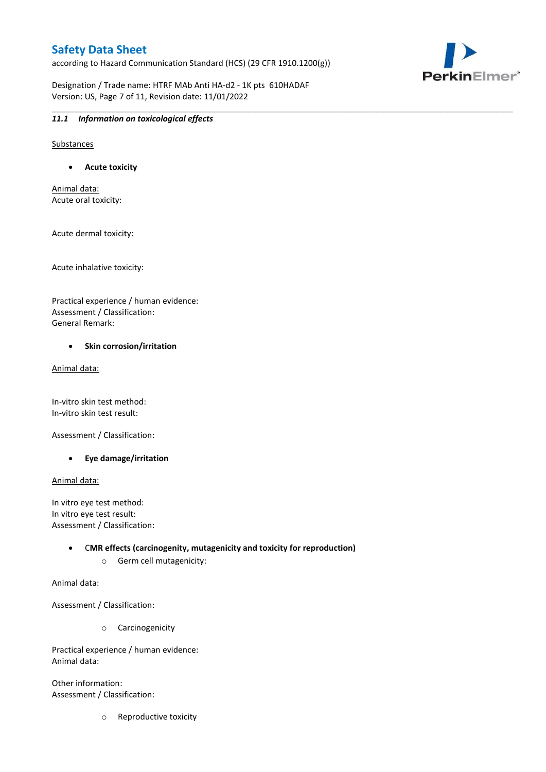according to Hazard Communication Standard (HCS) (29 CFR 1910.1200(g))

Designation / Trade name: HTRF MAb Anti HA-d2 - 1K pts 610HADAF Version: US, Page 7 of 11, Revision date: 11/01/2022

\_\_\_\_\_\_\_\_\_\_\_\_\_\_\_\_\_\_\_\_\_\_\_\_\_\_\_\_\_\_\_\_\_\_\_\_\_\_\_\_\_\_\_\_\_\_\_\_\_\_\_\_\_\_\_\_\_\_\_\_\_\_\_\_\_\_\_\_\_\_\_\_\_\_\_\_\_\_\_\_\_\_\_\_\_\_\_\_\_\_\_\_\_\_\_\_\_\_\_\_\_



### *11.1 Information on toxicological effects*

Substances

**Acute toxicity**

Animal data: Acute oral toxicity:

Acute dermal toxicity:

Acute inhalative toxicity:

Practical experience / human evidence: Assessment / Classification: General Remark:

#### **•** Skin corrosion/irritation

Animal data:

In-vitro skin test method: In-vitro skin test result:

Assessment / Classification:

**Eye damage/irritation**

Animal data:

In vitro eye test method: In vitro eye test result: Assessment / Classification:

> C**MR effects (carcinogenity, mutagenicity and toxicity for reproduction)** o Germ cell mutagenicity:

Animal data:

Assessment / Classification:

o Carcinogenicity

Practical experience / human evidence: Animal data:

Other information: Assessment / Classification:

o Reproductive toxicity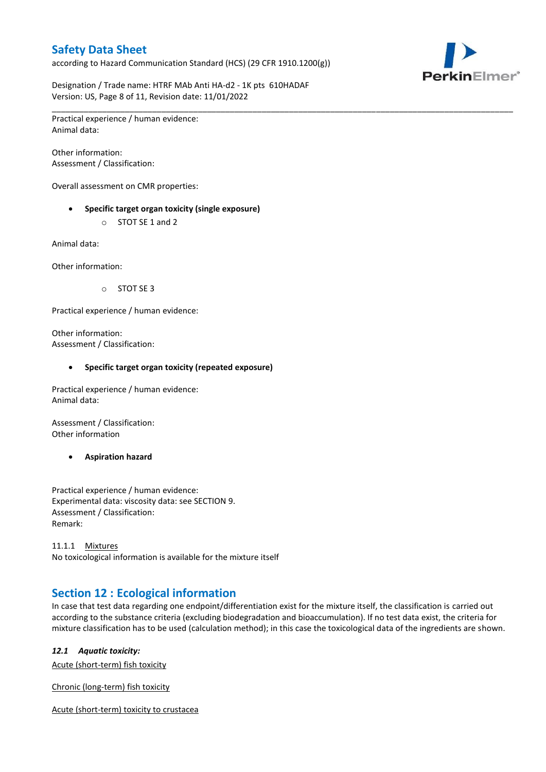according to Hazard Communication Standard (HCS) (29 CFR 1910.1200(g))



Designation / Trade name: HTRF MAb Anti HA-d2 - 1K pts 610HADAF Version: US, Page 8 of 11, Revision date: 11/01/2022

\_\_\_\_\_\_\_\_\_\_\_\_\_\_\_\_\_\_\_\_\_\_\_\_\_\_\_\_\_\_\_\_\_\_\_\_\_\_\_\_\_\_\_\_\_\_\_\_\_\_\_\_\_\_\_\_\_\_\_\_\_\_\_\_\_\_\_\_\_\_\_\_\_\_\_\_\_\_\_\_\_\_\_\_\_\_\_\_\_\_\_\_\_\_\_\_\_\_\_\_\_ Practical experience / human evidence: Animal data:

Other information: Assessment / Classification:

Overall assessment on CMR properties:

- **Specific target organ toxicity (single exposure)**
	- o STOT SE 1 and 2

Animal data:

Other information:

o STOT SE 3

Practical experience / human evidence:

Other information: Assessment / Classification:

#### **Specific target organ toxicity (repeated exposure)**

Practical experience / human evidence: Animal data:

Assessment / Classification: Other information

**Aspiration hazard**

Practical experience / human evidence: Experimental data: viscosity data: see SECTION 9. Assessment / Classification: Remark:

11.1.1 Mixtures No toxicological information is available for the mixture itself

### **Section 12 : Ecological information**

In case that test data regarding one endpoint/differentiation exist for the mixture itself, the classification is carried out according to the substance criteria (excluding biodegradation and bioaccumulation). If no test data exist, the criteria for mixture classification has to be used (calculation method); in this case the toxicological data of the ingredients are shown.

#### *12.1 Aquatic toxicity:*

Acute (short-term) fish toxicity

Chronic (long-term) fish toxicity

Acute (short-term) toxicity to crustacea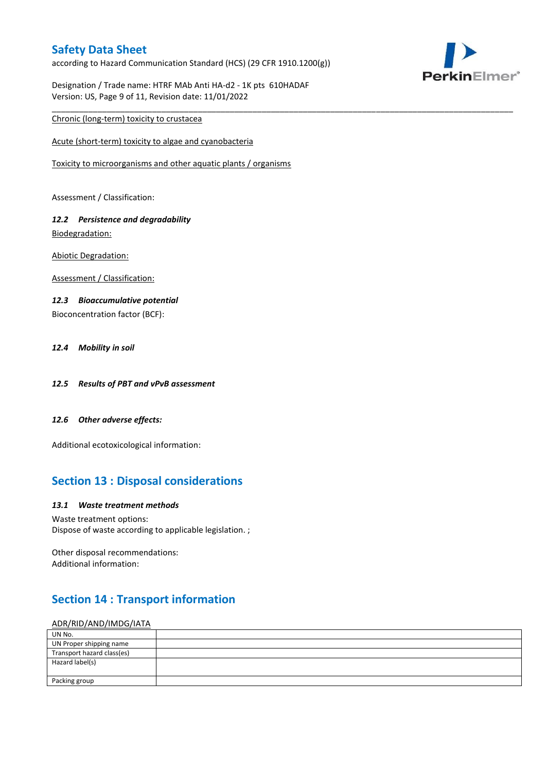according to Hazard Communication Standard (HCS) (29 CFR 1910.1200(g))

\_\_\_\_\_\_\_\_\_\_\_\_\_\_\_\_\_\_\_\_\_\_\_\_\_\_\_\_\_\_\_\_\_\_\_\_\_\_\_\_\_\_\_\_\_\_\_\_\_\_\_\_\_\_\_\_\_\_\_\_\_\_\_\_\_\_\_\_\_\_\_\_\_\_\_\_\_\_\_\_\_\_\_\_\_\_\_\_\_\_\_\_\_\_\_\_\_\_\_\_\_



Designation / Trade name: HTRF MAb Anti HA-d2 - 1K pts 610HADAF Version: US, Page 9 of 11, Revision date: 11/01/2022

### Chronic (long-term) toxicity to crustacea

Acute (short-term) toxicity to algae and cyanobacteria

Toxicity to microorganisms and other aquatic plants / organisms

Assessment / Classification:

### *12.2 Persistence and degradability* Biodegradation:

Abiotic Degradation:

Assessment / Classification:

### *12.3 Bioaccumulative potential*

Bioconcentration factor (BCF):

### *12.4 Mobility in soil*

- *12.5 Results of PBT and vPvB assessment*
- *12.6 Other adverse effects:*

Additional ecotoxicological information:

### **Section 13 : Disposal considerations**

#### *13.1 Waste treatment methods*

Waste treatment options: Dispose of waste according to applicable legislation. ;

Other disposal recommendations: Additional information:

# **Section 14 : Transport information**

### ADR/RID/AND/IMDG/IATA

| UN No.                     |  |
|----------------------------|--|
| UN Proper shipping name    |  |
| Transport hazard class(es) |  |
| Hazard label(s)            |  |
|                            |  |
| Packing group              |  |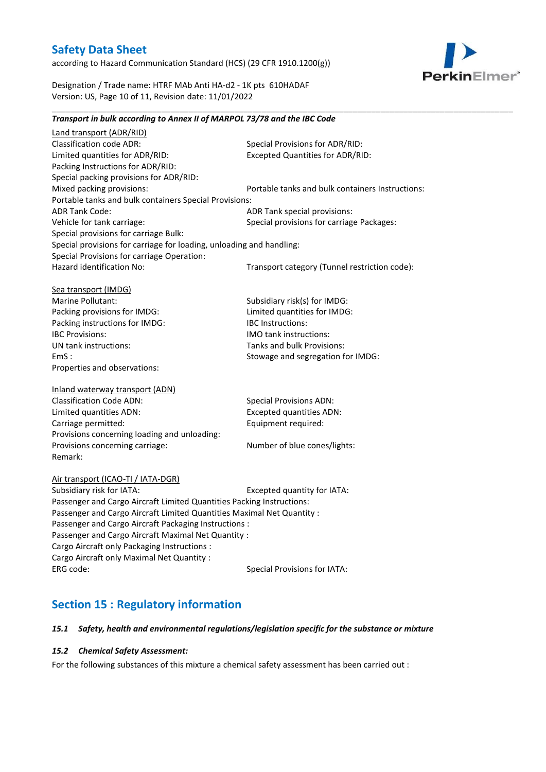according to Hazard Communication Standard (HCS) (29 CFR 1910.1200(g))



Designation / Trade name: HTRF MAb Anti HA-d2 - 1K pts 610HADAF Version: US, Page 10 of 11, Revision date: 11/01/2022

### *Transport in bulk according to Annex II of MARPOL 73/78 and the IBC Code*

\_\_\_\_\_\_\_\_\_\_\_\_\_\_\_\_\_\_\_\_\_\_\_\_\_\_\_\_\_\_\_\_\_\_\_\_\_\_\_\_\_\_\_\_\_\_\_\_\_\_\_\_\_\_\_\_\_\_\_\_\_\_\_\_\_\_\_\_\_\_\_\_\_\_\_\_\_\_\_\_\_\_\_\_\_\_\_\_\_\_\_\_\_\_\_\_\_\_\_\_\_

Land transport (ADR/RID) Classification code ADR: Special Provisions for ADR/RID:<br>
Limited quantities for ADR/RID: Excepted Quantities for ADR/RI Excepted Quantities for ADR/RID: Packing Instructions for ADR/RID: Special packing provisions for ADR/RID: Mixed packing provisions: Portable tanks and bulk containers Instructions: Portable tanks and bulk containers Special Provisions: ADR Tank Code: ADR Tank special provisions: Vehicle for tank carriage:  $S$  Special provisions for carriage Packages: Special provisions for carriage Bulk: Special provisions for carriage for loading, unloading and handling: Special Provisions for carriage Operation: Hazard identification No: Transport category (Tunnel restriction code): Sea transport (IMDG) Marine Pollutant: Subsidiary risk(s) for IMDG: Packing provisions for IMDG: Limited quantities for IMDG: Packing instructions for IMDG: IBC Instructions: IBC Provisions: IMO tank instructions: UN tank instructions: Tanks and bulk Provisions: EmS : Stowage and segregation for IMDG: Properties and observations: Inland waterway transport (ADN) Classification Code ADN: Special Provisions ADN: Limited quantities ADN: Excepted quantities ADN: Carriage permitted: Carriage permitted: Provisions concerning loading and unloading: Provisions concerning carriage: Number of blue cones/lights: Remark: Air transport (ICAO-TI / IATA-DGR) Subsidiary risk for IATA: Excepted quantity for IATA: Passenger and Cargo Aircraft Limited Quantities Packing Instructions: Passenger and Cargo Aircraft Limited Quantities Maximal Net Quantity : Passenger and Cargo Aircraft Packaging Instructions : Passenger and Cargo Aircraft Maximal Net Quantity : Cargo Aircraft only Packaging Instructions : Cargo Aircraft only Maximal Net Quantity : ERG code: Special Provisions for IATA:

### **Section 15 : Regulatory information**

#### *15.1 Safety, health and environmental regulations/legislation specific for the substance or mixture*

#### *15.2 Chemical Safety Assessment:*

For the following substances of this mixture a chemical safety assessment has been carried out :